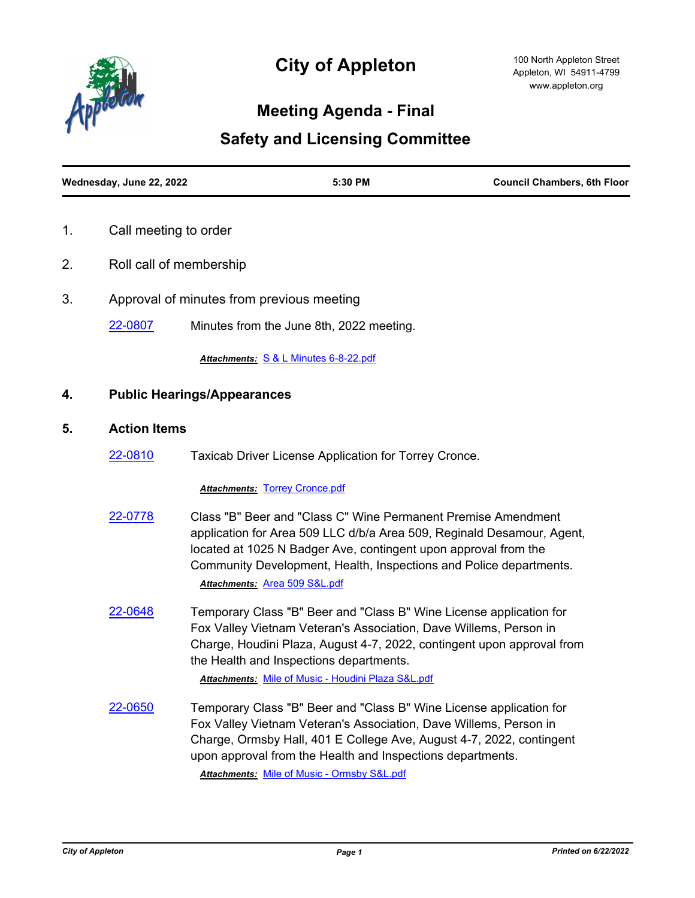

# **City of Appleton**

### **Meeting Agenda - Final**

## **Safety and Licensing Committee**

| Wednesday, June 22, 2022 | 5:30 PM | <b>Council Chambers, 6th Floor</b> |
|--------------------------|---------|------------------------------------|
|                          |         |                                    |

- 1. Call meeting to order
- 2. Roll call of membership
- 3. Approval of minutes from previous meeting

[22-0807](http://cityofappleton.legistar.com/gateway.aspx?m=l&id=/matter.aspx?key=21357) Minutes from the June 8th, 2022 meeting.

*Attachments:* [S & L Minutes 6-8-22.pdf](http://cityofappleton.legistar.com/gateway.aspx?M=F&ID=582d6714-c495-4e5d-9df0-82faa9718632.pdf)

#### **4. Public Hearings/Appearances**

#### **5. Action Items**

[22-0810](http://cityofappleton.legistar.com/gateway.aspx?m=l&id=/matter.aspx?key=21360) Taxicab Driver License Application for Torrey Cronce.

#### *Attachments:* [Torrey Cronce.pdf](http://cityofappleton.legistar.com/gateway.aspx?M=F&ID=2a553811-ad85-408f-a721-e6f4c7d6d535.pdf)

| 22-0778 | Class "B" Beer and "Class C" Wine Permanent Premise Amendment          |
|---------|------------------------------------------------------------------------|
|         | application for Area 509 LLC d/b/a Area 509, Reginald Desamour, Agent, |
|         | located at 1025 N Badger Ave, contingent upon approval from the        |
|         | Community Development, Health, Inspections and Police departments.     |
|         | Attachments: Area 509 S&L.pdf                                          |

[22-0648](http://cityofappleton.legistar.com/gateway.aspx?m=l&id=/matter.aspx?key=21198) Temporary Class "B" Beer and "Class B" Wine License application for Fox Valley Vietnam Veteran's Association, Dave Willems, Person in Charge, Houdini Plaza, August 4-7, 2022, contingent upon approval from the Health and Inspections departments.

*Attachments:* [Mile of Music - Houdini Plaza S&L.pdf](http://cityofappleton.legistar.com/gateway.aspx?M=F&ID=1427ad79-8dff-4178-9e62-1b2b419ddfff.pdf)

[22-0650](http://cityofappleton.legistar.com/gateway.aspx?m=l&id=/matter.aspx?key=21200) Temporary Class "B" Beer and "Class B" Wine License application for Fox Valley Vietnam Veteran's Association, Dave Willems, Person in Charge, Ormsby Hall, 401 E College Ave, August 4-7, 2022, contingent upon approval from the Health and Inspections departments.

*Attachments:* [Mile of Music - Ormsby S&L.pdf](http://cityofappleton.legistar.com/gateway.aspx?M=F&ID=97a89b64-b3a6-4e23-a4be-736c62a6511b.pdf)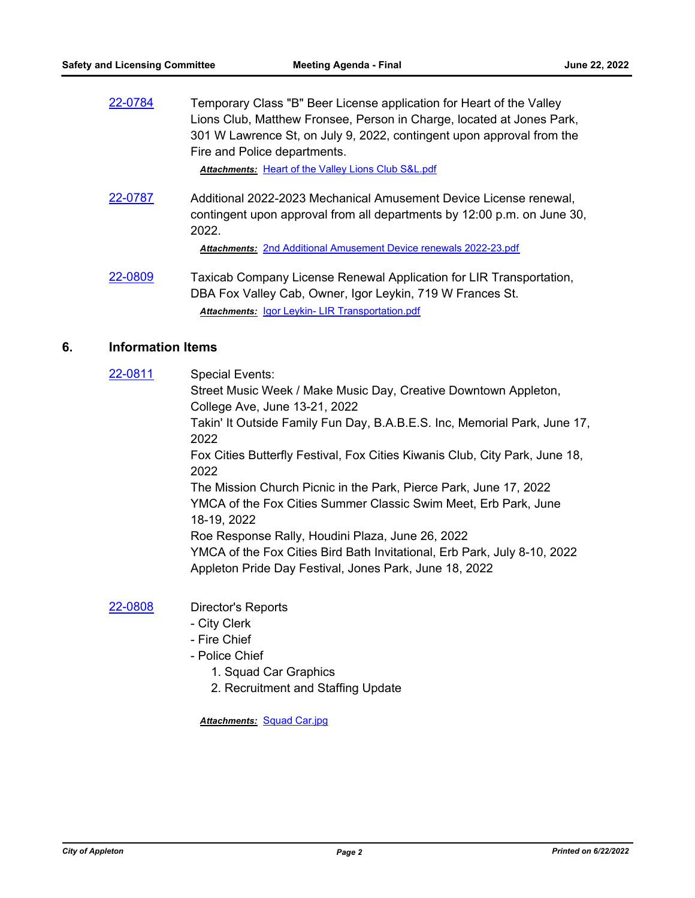[22-0784](http://cityofappleton.legistar.com/gateway.aspx?m=l&id=/matter.aspx?key=21334) Temporary Class "B" Beer License application for Heart of the Valley Lions Club, Matthew Fronsee, Person in Charge, located at Jones Park, 301 W Lawrence St, on July 9, 2022, contingent upon approval from the Fire and Police departments.

*Attachments:* [Heart of the Valley Lions Club S&L.pdf](http://cityofappleton.legistar.com/gateway.aspx?M=F&ID=28b33433-af0b-49bf-b6cc-a533014568ff.pdf)

[22-0787](http://cityofappleton.legistar.com/gateway.aspx?m=l&id=/matter.aspx?key=21337) Additional 2022-2023 Mechanical Amusement Device License renewal, contingent upon approval from all departments by 12:00 p.m. on June 30, 2022.

*Attachments:* [2nd Additional Amusement Device renewals 2022-23.pdf](http://cityofappleton.legistar.com/gateway.aspx?M=F&ID=df0f5be0-a6ae-49c5-82a8-ad30e3b47a01.pdf)

[22-0809](http://cityofappleton.legistar.com/gateway.aspx?m=l&id=/matter.aspx?key=21359) Taxicab Company License Renewal Application for LIR Transportation, DBA Fox Valley Cab, Owner, Igor Leykin, 719 W Frances St. *Attachments:* [Igor Leykin- LIR Transportation.pdf](http://cityofappleton.legistar.com/gateway.aspx?M=F&ID=ac2ecdcc-6f0e-4e10-bb05-60183f4c95d3.pdf)

#### **6. Information Items**

[22-0811](http://cityofappleton.legistar.com/gateway.aspx?m=l&id=/matter.aspx?key=21361) Special Events: Street Music Week / Make Music Day, Creative Downtown Appleton, College Ave, June 13-21, 2022 Takin' It Outside Family Fun Day, B.A.B.E.S. Inc, Memorial Park, June 17, 2022 Fox Cities Butterfly Festival, Fox Cities Kiwanis Club, City Park, June 18, 2022 The Mission Church Picnic in the Park, Pierce Park, June 17, 2022 YMCA of the Fox Cities Summer Classic Swim Meet, Erb Park, June 18-19, 2022 Roe Response Rally, Houdini Plaza, June 26, 2022 YMCA of the Fox Cities Bird Bath Invitational, Erb Park, July 8-10, 2022 Appleton Pride Day Festival, Jones Park, June 18, 2022

#### [22-0808](http://cityofappleton.legistar.com/gateway.aspx?m=l&id=/matter.aspx?key=21358) Director's Reports

- City Clerk
- Fire Chief
- Police Chief
	- 1. Squad Car Graphics
	- 2. Recruitment and Staffing Update

*Attachments:* [Squad Car.jpg](http://cityofappleton.legistar.com/gateway.aspx?M=F&ID=dc693379-1075-4a69-ae77-31a662f6bde5.jpg)